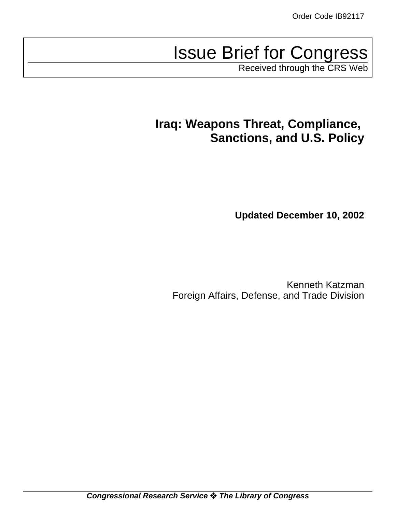# Issue Brief for Congress

Received through the CRS Web

# **Iraq: Weapons Threat, Compliance, Sanctions, and U.S. Policy**

**Updated December 10, 2002**

Kenneth Katzman Foreign Affairs, Defense, and Trade Division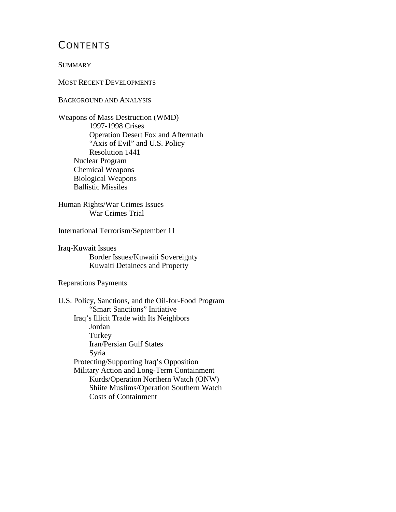# **CONTENTS**

#### **SUMMARY**

MOST RECENT DEVELOPMENTS

BACKGROUND AND ANALYSIS

Weapons of Mass Destruction (WMD) 1997-1998 Crises Operation Desert Fox and Aftermath "Axis of Evil" and U.S. Policy Resolution 1441 Nuclear Program Chemical Weapons Biological Weapons Ballistic Missiles

Human Rights/War Crimes Issues War Crimes Trial

International Terrorism/September 11

Iraq-Kuwait Issues Border Issues/Kuwaiti Sovereignty Kuwaiti Detainees and Property

Reparations Payments

U.S. Policy, Sanctions, and the Oil-for-Food Program "Smart Sanctions" Initiative Iraq's Illicit Trade with Its Neighbors Jordan **Turkey** Iran/Persian Gulf States Syria Protecting/Supporting Iraq's Opposition Military Action and Long-Term Containment Kurds/Operation Northern Watch (ONW) Shiite Muslims/Operation Southern Watch Costs of Containment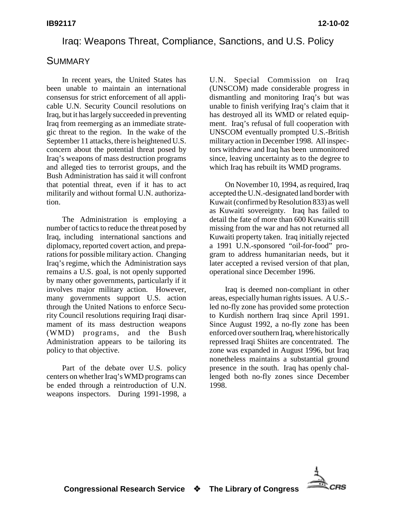#### Iraq: Weapons Threat, Compliance, Sanctions, and U.S. Policy

#### **SUMMARY**

In recent years, the United States has been unable to maintain an international consensus for strict enforcement of all applicable U.N. Security Council resolutions on Iraq, but it has largely succeeded in preventing Iraq from reemerging as an immediate strategic threat to the region. In the wake of the September 11 attacks, there is heightened U.S. concern about the potential threat posed by Iraq's weapons of mass destruction programs and alleged ties to terrorist groups, and the Bush Administration has said it will confront that potential threat, even if it has to act militarily and without formal U.N. authorization.

The Administration is employing a number of tactics to reduce the threat posed by Iraq, including international sanctions and diplomacy, reported covert action, and preparations for possible military action. Changing Iraq's regime, which the Administration says remains a U.S. goal, is not openly supported by many other governments, particularly if it involves major military action. However, many governments support U.S. action through the United Nations to enforce Security Council resolutions requiring Iraqi disarmament of its mass destruction weapons (WMD) programs, and the Bush Administration appears to be tailoring its policy to that objective.

Part of the debate over U.S. policy centers on whether Iraq's WMD programs can be ended through a reintroduction of U.N. weapons inspectors. During 1991-1998, a

U.N. Special Commission on Iraq (UNSCOM) made considerable progress in dismantling and monitoring Iraq's but was unable to finish verifying Iraq's claim that it has destroyed all its WMD or related equipment. Iraq's refusal of full cooperation with UNSCOM eventually prompted U.S.-British military action in December 1998. All inspectors withdrew and Iraq has been unmonitored since, leaving uncertainty as to the degree to which Iraq has rebuilt its WMD programs.

On November 10, 1994, as required, Iraq accepted the U.N.-designated land border with Kuwait (confirmed by Resolution 833) as well as Kuwaiti sovereignty. Iraq has failed to detail the fate of more than 600 Kuwaitis still missing from the war and has not returned all Kuwaiti property taken. Iraq initially rejected a 1991 U.N.-sponsored "oil-for-food" program to address humanitarian needs, but it later accepted a revised version of that plan, operational since December 1996.

Iraq is deemed non-compliant in other areas, especially human rights issues. A U.S. led no-fly zone has provided some protection to Kurdish northern Iraq since April 1991. Since August 1992, a no-fly zone has been enforced over southern Iraq, where historically repressed Iraqi Shiites are concentrated. The zone was expanded in August 1996, but Iraq nonetheless maintains a substantial ground presence in the south. Iraq has openly challenged both no-fly zones since December 1998.

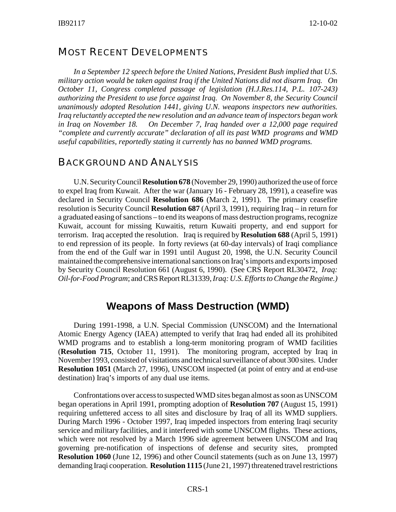#### MOST RECENT DEVELOPMENTS

*In a September 12 speech before the United Nations, President Bush implied that U.S. military action would be taken against Iraq if the United Nations did not disarm Iraq. On October 11, Congress completed passage of legislation (H.J.Res.114, P.L. 107-243) authorizing the President to use force against Iraq. On November 8, the Security Council unanimously adopted Resolution 1441, giving U.N. weapons inspectors new authorities. Iraq reluctantly accepted the new resolution and an advance team of inspectors began work in Iraq on November 18. On December 7, Iraq handed over a 12,000 page required "complete and currently accurate" declaration of all its past WMD programs and WMD useful capabilities, reportedly stating it currently has no banned WMD programs.* 

#### BACKGROUND AND ANALYSIS

U.N. Security Council **Resolution 678** (November 29, 1990) authorized the use of force to expel Iraq from Kuwait. After the war (January 16 - February 28, 1991), a ceasefire was declared in Security Council **Resolution 686** (March 2, 1991). The primary ceasefire resolution is Security Council **Resolution 687** (April 3, 1991), requiring Iraq – in return for a graduated easing of sanctions – to end its weapons of mass destruction programs, recognize Kuwait, account for missing Kuwaitis, return Kuwaiti property, and end support for terrorism. Iraq accepted the resolution. Iraq is required by **Resolution 688** (April 5, 1991) to end repression of its people. In forty reviews (at 60-day intervals) of Iraqi compliance from the end of the Gulf war in 1991 until August 20, 1998, the U.N. Security Council maintained the comprehensive international sanctions on Iraq's imports and exports imposed by Security Council Resolution 661 (August 6, 1990). (See CRS Report RL30472, *Iraq: Oil-for-Food Program*; and CRS Report RL31339, *Iraq: U.S. Efforts to Change the Regime.)*

# **Weapons of Mass Destruction (WMD)**

During 1991-1998, a U.N. Special Commission (UNSCOM) and the International Atomic Energy Agency (IAEA) attempted to verify that Iraq had ended all its prohibited WMD programs and to establish a long-term monitoring program of WMD facilities (**Resolution 715**, October 11, 1991). The monitoring program, accepted by Iraq in November 1993, consisted of visitations and technical surveillance of about 300 sites. Under **Resolution 1051** (March 27, 1996), UNSCOM inspected (at point of entry and at end-use destination) Iraq's imports of any dual use items.

Confrontations over access to suspected WMD sites began almost as soon as UNSCOM began operations in April 1991, prompting adoption of **Resolution 707** (August 15, 1991) requiring unfettered access to all sites and disclosure by Iraq of all its WMD suppliers. During March 1996 - October 1997, Iraq impeded inspectors from entering Iraqi security service and military facilities, and it interfered with some UNSCOM flights. These actions, which were not resolved by a March 1996 side agreement between UNSCOM and Iraq governing pre-notification of inspections of defense and security sites, prompted **Resolution 1060** (June 12, 1996) and other Council statements (such as on June 13, 1997) demanding Iraqi cooperation. **Resolution 1115** (June 21, 1997) threatened travel restrictions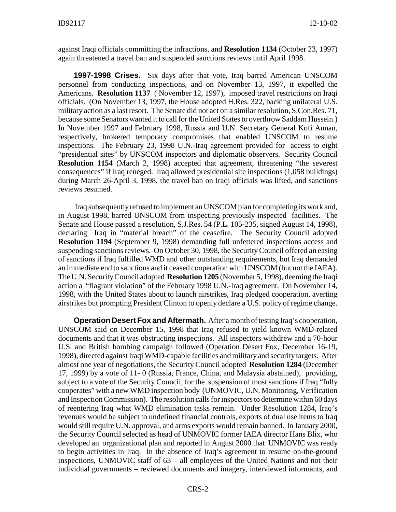against Iraqi officials committing the infractions, and **Resolution 1134** (October 23, 1997) again threatened a travel ban and suspended sanctions reviews until April 1998.

**1997-1998 Crises.** Six days after that vote, Iraq barred American UNSCOM personnel from conducting inspections, and on November 13, 1997, it expelled the Americans. **Resolution 1137** ( November 12, 1997), imposed travel restrictions on Iraqi officials. (On November 13, 1997, the House adopted H.Res. 322, backing unilateral U.S. military action as a last resort. The Senate did not act on a similar resolution, S.Con.Res. 71, because some Senators wanted it to call for the United States to overthrow Saddam Hussein.) In November 1997 and February 1998, Russia and U.N. Secretary General Kofi Annan, respectively, brokered temporary compromises that enabled UNSCOM to resume inspections. The February 23, 1998 U.N.-Iraq agreement provided for access to eight "presidential sites" by UNSCOM inspectors and diplomatic observers. Security Council **Resolution 1154** (March 2, 1998) accepted that agreement, threatening "the severest consequences" if Iraq reneged. Iraq allowed presidential site inspections (1,058 buildings) during March 26-April 3, 1998, the travel ban on Iraqi officials was lifted, and sanctions reviews resumed.

 Iraq subsequently refused to implement an UNSCOM plan for completing its work and, in August 1998, barred UNSCOM from inspecting previously inspected facilities. The Senate and House passed a resolution, S.J.Res. 54 (P.L. 105-235, signed August 14, 1998), declaring Iraq in "material breach" of the ceasefire. The Security Council adopted **Resolution 1194** (September 9, 1998) demanding full unfettered inspections access and suspending sanctions reviews. On October 30, 1998, the Security Council offered an easing of sanctions if Iraq fulfilled WMD and other outstanding requirements, but Iraq demanded an immediate end to sanctions and it ceased cooperation with UNSCOM (but not the IAEA). The U.N. Security Council adopted **Resolution 1205** (November 5, 1998), deeming the Iraqi action a "flagrant violation" of the February 1998 U.N.-Iraq agreement. On November 14, 1998, with the United States about to launch airstrikes, Iraq pledged cooperation, averting airstrikes but prompting President Clinton to openly declare a U.S. policy of regime change.

**Operation Desert Fox and Aftermath.** After a month of testing Iraq's cooperation, UNSCOM said on December 15, 1998 that Iraq refused to yield known WMD-related documents and that it was obstructing inspections. All inspectors withdrew and a 70-hour U.S. and British bombing campaign followed (Operation Desert Fox, December 16-19, 1998), directed against Iraqi WMD-capable facilities and military and security targets. After almost one year of negotiations, the Security Council adopted **Resolution 1284** (December 17, 1999) by a vote of 11- 0 (Russia, France, China, and Malaysia abstained), providing, subject to a vote of the Security Council, for the suspension of most sanctions if Iraq "fully cooperates" with a new WMD inspection body (UNMOVIC, U.N. Monitoring, Verification and Inspection Commission). The resolution calls for inspectors to determine within 60 days of reentering Iraq what WMD elimination tasks remain. Under Resolution 1284, Iraq's revenues would be subject to undefined financial controls, exports of dual use items to Iraq would still require U.N. approval, and arms exports would remain banned. In January 2000, the Security Council selected as head of UNMOVIC former IAEA director Hans Blix, who developed an organizational plan and reported in August 2000 that UNMOVIC was ready to begin activities in Iraq. In the absence of Iraq's agreement to resume on-the-ground inspections, UNMOVIC staff of 63 – all employees of the United Nations and not their individual governments – reviewed documents and imagery, interviewed informants, and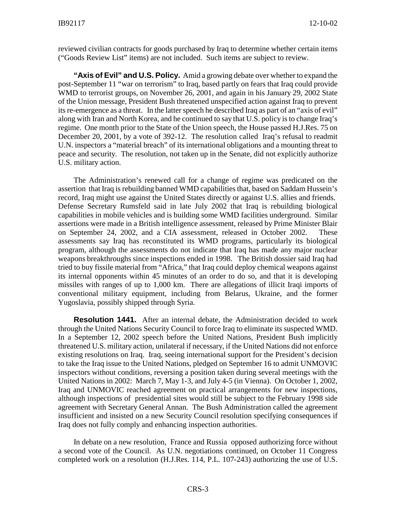reviewed civilian contracts for goods purchased by Iraq to determine whether certain items ("Goods Review List" items) are not included. Such items are subject to review.

**"Axis of Evil" and U.S. Policy.** Amid a growing debate over whether to expand the post-September 11 "war on terrorism" to Iraq, based partly on fears that Iraq could provide WMD to terrorist groups, on November 26, 2001, and again in his January 29, 2002 State of the Union message, President Bush threatened unspecified action against Iraq to prevent its re-emergence as a threat. In the latter speech he described Iraq as part of an "axis of evil" along with Iran and North Korea, and he continued to say that U.S. policy is to change Iraq's regime. One month prior to the State of the Union speech, the House passed H.J.Res. 75 on December 20, 2001, by a vote of 392-12. The resolution called Iraq's refusal to readmit U.N. inspectors a "material breach" of its international obligations and a mounting threat to peace and security. The resolution, not taken up in the Senate, did not explicitly authorize U.S. military action.

The Administration's renewed call for a change of regime was predicated on the assertion that Iraq is rebuilding banned WMD capabilities that, based on Saddam Hussein's record, Iraq might use against the United States directly or against U.S. allies and friends. Defense Secretary Rumsfeld said in late July 2002 that Iraq is rebuilding biological capabilities in mobile vehicles and is building some WMD facilities underground. Similar assertions were made in a British intelligence assessment, released by Prime Minister Blair on September 24, 2002, and a CIA assessment, released in October 2002. These assessments say Iraq has reconstituted its WMD programs, particularly its biological program, although the assessments do not indicate that Iraq has made any major nuclear weapons breakthroughs since inspections ended in 1998. The British dossier said Iraq had tried to buy fissile material from "Africa," that Iraq could deploy chemical weapons against its internal opponents within 45 minutes of an order to do so, and that it is developing missiles with ranges of up to 1,000 km. There are allegations of illicit Iraqi imports of conventional military equipment, including from Belarus, Ukraine, and the former Yugoslavia, possibly shipped through Syria.

**Resolution 1441.** After an internal debate, the Administration decided to work through the United Nations Security Council to force Iraq to eliminate its suspected WMD. In a September 12, 2002 speech before the United Nations, President Bush implicitly threatened U.S. military action, unilateral if necessary, if the United Nations did not enforce existing resolutions on Iraq. Iraq, seeing international support for the President's decision to take the Iraq issue to the United Nations, pledged on September 16 to admit UNMOVIC inspectors without conditions, reversing a position taken during several meetings with the United Nations in 2002: March 7, May 1-3, and July 4-5 (in Vienna). On October 1, 2002, Iraq and UNMOVIC reached agreement on practical arrangements for new inspections, although inspections of presidential sites would still be subject to the February 1998 side agreement with Secretary General Annan. The Bush Administration called the agreement insufficient and insisted on a new Security Council resolution specifying consequences if Iraq does not fully comply and enhancing inspection authorities.

In debate on a new resolution, France and Russia opposed authorizing force without a second vote of the Council. As U.N. negotiations continued, on October 11 Congress completed work on a resolution (H.J.Res. 114, P.L. 107-243) authorizing the use of U.S.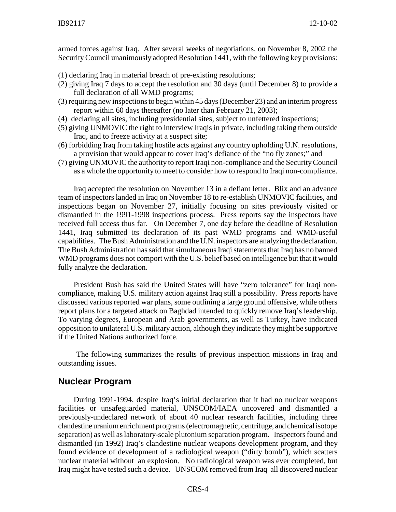armed forces against Iraq. After several weeks of negotiations, on November 8, 2002 the Security Council unanimously adopted Resolution 1441, with the following key provisions:

- (1) declaring Iraq in material breach of pre-existing resolutions;
- (2) giving Iraq 7 days to accept the resolution and 30 days (until December 8) to provide a full declaration of all WMD programs;
- (3) requiring new inspections to begin within 45 days (December 23) and an interim progress report within 60 days thereafter (no later than February 21, 2003);
- (4) declaring all sites, including presidential sites, subject to unfettered inspections;
- (5) giving UNMOVIC the right to interview Iraqis in private, including taking them outside Iraq, and to freeze activity at a suspect site;
- (6) forbidding Iraq from taking hostile acts against any country upholding U.N. resolutions, a provision that would appear to cover Iraq's defiance of the "no fly zones;" and
- (7) giving UNMOVIC the authority to report Iraqi non-compliance and the Security Council as a whole the opportunity to meet to consider how to respond to Iraqi non-compliance.

Iraq accepted the resolution on November 13 in a defiant letter. Blix and an advance team of inspectors landed in Iraq on November 18 to re-establish UNMOVIC facilities, and inspections began on November 27, initially focusing on sites previously visited or dismantled in the 1991-1998 inspections process. Press reports say the inspectors have received full access thus far. On December 7, one day before the deadline of Resolution 1441, Iraq submitted its declaration of its past WMD programs and WMD-useful capabilities. The Bush Administration and the U.N. inspectors are analyzing the declaration. The Bush Administration has said that simultaneous Iraqi statements that Iraq has no banned WMD programs does not comport with the U.S. belief based on intelligence but that it would fully analyze the declaration.

President Bush has said the United States will have "zero tolerance" for Iraqi noncompliance, making U.S. military action against Iraq still a possibility. Press reports have discussed various reported war plans, some outlining a large ground offensive, while others report plans for a targeted attack on Baghdad intended to quickly remove Iraq's leadership. To varying degrees, European and Arab governments, as well as Turkey, have indicated opposition to unilateral U.S. military action, although they indicate they might be supportive if the United Nations authorized force.

 The following summarizes the results of previous inspection missions in Iraq and outstanding issues.

#### **Nuclear Program**

During 1991-1994, despite Iraq's initial declaration that it had no nuclear weapons facilities or unsafeguarded material, UNSCOM/IAEA uncovered and dismantled a previously-undeclared network of about 40 nuclear research facilities, including three clandestine uranium enrichment programs (electromagnetic, centrifuge, and chemical isotope separation) as well as laboratory-scale plutonium separation program. Inspectors found and dismantled (in 1992) Iraq's clandestine nuclear weapons development program, and they found evidence of development of a radiological weapon ("dirty bomb"), which scatters nuclear material without an explosion. No radiological weapon was ever completed, but Iraq might have tested such a device. UNSCOM removed from Iraq all discovered nuclear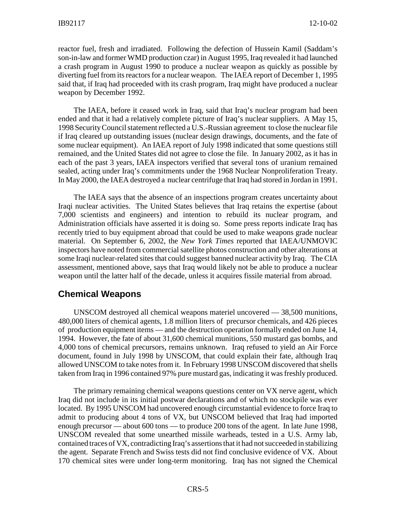reactor fuel, fresh and irradiated. Following the defection of Hussein Kamil (Saddam's son-in-law and former WMD production czar) in August 1995, Iraq revealed it had launched a crash program in August 1990 to produce a nuclear weapon as quickly as possible by diverting fuel from its reactors for a nuclear weapon. The IAEA report of December 1, 1995 said that, if Iraq had proceeded with its crash program, Iraq might have produced a nuclear weapon by December 1992.

The IAEA, before it ceased work in Iraq, said that Iraq's nuclear program had been ended and that it had a relatively complete picture of Iraq's nuclear suppliers. A May 15, 1998 Security Council statement reflected a U.S.-Russian agreement to close the nuclear file if Iraq cleared up outstanding issues (nuclear design drawings, documents, and the fate of some nuclear equipment). An IAEA report of July 1998 indicated that some questions still remained, and the United States did not agree to close the file. In January 2002, as it has in each of the past 3 years, IAEA inspectors verified that several tons of uranium remained sealed, acting under Iraq's commitments under the 1968 Nuclear Nonproliferation Treaty. In May 2000, the IAEA destroyed a nuclear centrifuge that Iraq had stored in Jordan in 1991.

The IAEA says that the absence of an inspections program creates uncertainty about Iraqi nuclear activities. The United States believes that Iraq retains the expertise (about 7,000 scientists and engineers) and intention to rebuild its nuclear program, and Administration officials have asserted it is doing so. Some press reports indicate Iraq has recently tried to buy equipment abroad that could be used to make weapons grade nuclear material. On September 6, 2002, the *New York Times* reported that IAEA/UNMOVIC inspectors have noted from commercial satellite photos construction and other alterations at some Iraqi nuclear-related sites that could suggest banned nuclear activity by Iraq. The CIA assessment, mentioned above, says that Iraq would likely not be able to produce a nuclear weapon until the latter half of the decade, unless it acquires fissile material from abroad.

#### **Chemical Weapons**

UNSCOM destroyed all chemical weapons materiel uncovered — 38,500 munitions, 480,000 liters of chemical agents, 1.8 million liters of precursor chemicals, and 426 pieces of production equipment items — and the destruction operation formally ended on June 14, 1994. However, the fate of about 31,600 chemical munitions, 550 mustard gas bombs, and 4,000 tons of chemical precursors, remains unknown. Iraq refused to yield an Air Force document, found in July 1998 by UNSCOM, that could explain their fate, although Iraq allowed UNSCOM to take notes from it. In February 1998 UNSCOM discovered that shells taken from Iraq in 1996 contained 97% pure mustard gas, indicating it was freshly produced.

The primary remaining chemical weapons questions center on VX nerve agent, which Iraq did not include in its initial postwar declarations and of which no stockpile was ever located. By 1995 UNSCOM had uncovered enough circumstantial evidence to force Iraq to admit to producing about 4 tons of VX, but UNSCOM believed that Iraq had imported enough precursor — about 600 tons — to produce 200 tons of the agent. In late June 1998, UNSCOM revealed that some unearthed missile warheads, tested in a U.S. Army lab, contained traces of VX, contradicting Iraq's assertions that it had not succeeded in stabilizing the agent. Separate French and Swiss tests did not find conclusive evidence of VX. About 170 chemical sites were under long-term monitoring. Iraq has not signed the Chemical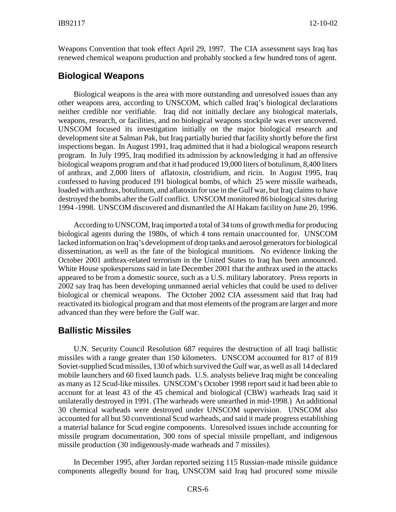Weapons Convention that took effect April 29, 1997. The CIA assessment says Iraq has renewed chemical weapons production and probably stocked a few hundred tons of agent.

#### **Biological Weapons**

Biological weapons is the area with more outstanding and unresolved issues than any other weapons area, according to UNSCOM, which called Iraq's biological declarations neither credible nor verifiable. Iraq did not initially declare any biological materials, weapons, research, or facilities, and no biological weapons stockpile was ever uncovered. UNSCOM focused its investigation initially on the major biological research and development site at Salman Pak, but Iraq partially buried that facility shortly before the first inspections began. In August 1991, Iraq admitted that it had a biological weapons research program. In July 1995, Iraq modified its admission by acknowledging it had an offensive biological weapons program and that it had produced 19,000 liters of botulinum, 8,400 liters of anthrax, and 2,000 liters of aflatoxin, clostridium, and ricin. In August 1995, Iraq confessed to having produced 191 biological bombs, of which 25 were missile warheads, loaded with anthrax, botulinum, and aflatoxin for use in the Gulf war, but Iraq claims to have destroyed the bombs after the Gulf conflict. UNSCOM monitored 86 biological sites during 1994 -1998. UNSCOM discovered and dismantled the Al Hakam facility on June 20, 1996.

According to UNSCOM, Iraq imported a total of 34 tons of growth media for producing biological agents during the 1980s, of which 4 tons remain unaccounted for. UNSCOM lacked information on Iraq's development of drop tanks and aerosol generators for biological dissemination, as well as the fate of the biological munitions. No evidence linking the October 2001 anthrax-related terrorism in the United States to Iraq has been announced. White House spokespersons said in late December 2001 that the anthrax used in the attacks appeared to be from a domestic source, such as a U.S. military laboratory. Press reports in 2002 say Iraq has been developing unmanned aerial vehicles that could be used to deliver biological or chemical weapons. The October 2002 CIA assessment said that Iraq had reactivated its biological program and that most elements of the program are larger and more advanced than they were before the Gulf war.

#### **Ballistic Missiles**

U.N. Security Council Resolution 687 requires the destruction of all Iraqi ballistic missiles with a range greater than 150 kilometers. UNSCOM accounted for 817 of 819 Soviet-supplied Scud missiles, 130 of which survived the Gulf war, as well as all 14 declared mobile launchers and 60 fixed launch pads. U.S. analysts believe Iraq might be concealing as many as 12 Scud-like missiles. UNSCOM's October 1998 report said it had been able to account for at least 43 of the 45 chemical and biological (CBW) warheads Iraq said it unilaterally destroyed in 1991. (The warheads were unearthed in mid-1998.) An additional 30 chemical warheads were destroyed under UNSCOM supervision. UNSCOM also accounted for all but 50 conventional Scud warheads, and said it made progress establishing a material balance for Scud engine components. Unresolved issues include accounting for missile program documentation, 300 tons of special missile propellant, and indigenous missile production (30 indigenously-made warheads and 7 missiles).

In December 1995, after Jordan reported seizing 115 Russian-made missile guidance components allegedly bound for Iraq, UNSCOM said Iraq had procured some missile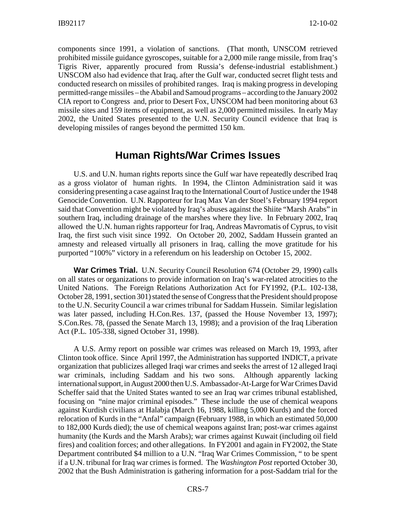components since 1991, a violation of sanctions. (That month, UNSCOM retrieved prohibited missile guidance gyroscopes, suitable for a 2,000 mile range missile, from Iraq's Tigris River, apparently procured from Russia's defense-industrial establishment.) UNSCOM also had evidence that Iraq, after the Gulf war, conducted secret flight tests and conducted research on missiles of prohibited ranges. Iraq is making progress in developing permitted-range missiles – the Ababil and Samoud programs – according to the January 2002 CIA report to Congress and, prior to Desert Fox, UNSCOM had been monitoring about 63 missile sites and 159 items of equipment, as well as 2,000 permitted missiles. In early May 2002, the United States presented to the U.N. Security Council evidence that Iraq is developing missiles of ranges beyond the permitted 150 km.

# **Human Rights/War Crimes Issues**

U.S. and U.N. human rights reports since the Gulf war have repeatedly described Iraq as a gross violator of human rights. In 1994, the Clinton Administration said it was considering presenting a case against Iraq to the International Court of Justice under the 1948 Genocide Convention. U.N. Rapporteur for Iraq Max Van der Stoel's February 1994 report said that Convention might be violated by Iraq's abuses against the Shiite "Marsh Arabs" in southern Iraq, including drainage of the marshes where they live. In February 2002, Iraq allowed the U.N. human rights rapporteur for Iraq, Andreas Mavromatis of Cyprus, to visit Iraq, the first such visit since 1992. On October 20, 2002, Saddam Hussein granted an amnesty and released virtually all prisoners in Iraq, calling the move gratitude for his purported "100%" victory in a referendum on his leadership on October 15, 2002.

**War Crimes Trial.** U.N. Security Council Resolution 674 (October 29, 1990) calls on all states or organizations to provide information on Iraq's war-related atrocities to the United Nations. The Foreign Relations Authorization Act for FY1992, (P.L. 102-138, October 28, 1991, section 301) stated the sense of Congress that the President should propose to the U.N. Security Council a war crimes tribunal for Saddam Hussein. Similar legislation was later passed, including H.Con.Res. 137, (passed the House November 13, 1997); S.Con.Res. 78, (passed the Senate March 13, 1998); and a provision of the Iraq Liberation Act (P.L. 105-338, signed October 31, 1998).

A U.S. Army report on possible war crimes was released on March 19, 1993, after Clinton took office. Since April 1997, the Administration has supported INDICT, a private organization that publicizes alleged Iraqi war crimes and seeks the arrest of 12 alleged Iraqi war criminals, including Saddam and his two sons. Although apparently lacking international support, in August 2000 then U.S. Ambassador-At-Large for War Crimes David Scheffer said that the United States wanted to see an Iraq war crimes tribunal established, focusing on "nine major criminal episodes." These include the use of chemical weapons against Kurdish civilians at Halabja (March 16, 1988, killing 5,000 Kurds) and the forced relocation of Kurds in the "Anfal" campaign (February 1988, in which an estimated 50,000 to 182,000 Kurds died); the use of chemical weapons against Iran; post-war crimes against humanity (the Kurds and the Marsh Arabs); war crimes against Kuwait (including oil field fires) and coalition forces; and other allegations. In FY2001 and again in FY2002, the State Department contributed \$4 million to a U.N. "Iraq War Crimes Commission, " to be spent if a U.N. tribunal for Iraq war crimes is formed. The *Washington Post* reported October 30, 2002 that the Bush Administration is gathering information for a post-Saddam trial for the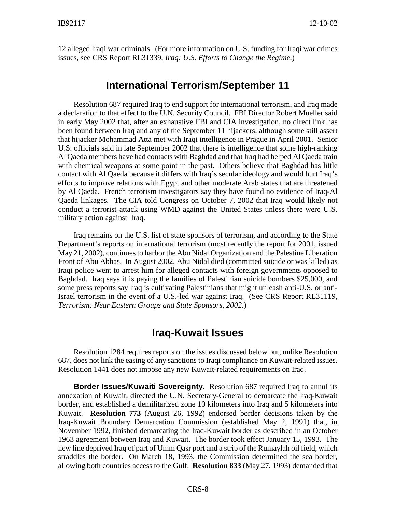12 alleged Iraqi war criminals. (For more information on U.S. funding for Iraqi war crimes issues, see CRS Report RL31339, *Iraq: U.S. Efforts to Change the Regime.*)

#### **International Terrorism/September 11**

Resolution 687 required Iraq to end support for international terrorism, and Iraq made a declaration to that effect to the U.N. Security Council. FBI Director Robert Mueller said in early May 2002 that, after an exhaustive FBI and CIA investigation, no direct link has been found between Iraq and any of the September 11 hijackers, although some still assert that hijacker Mohammad Atta met with Iraqi intelligence in Prague in April 2001. Senior U.S. officials said in late September 2002 that there is intelligence that some high-ranking Al Qaeda members have had contacts with Baghdad and that Iraq had helped Al Qaeda train with chemical weapons at some point in the past. Others believe that Baghdad has little contact with Al Qaeda because it differs with Iraq's secular ideology and would hurt Iraq's efforts to improve relations with Egypt and other moderate Arab states that are threatened by Al Qaeda. French terrorism investigators say they have found no evidence of Iraq-Al Qaeda linkages. The CIA told Congress on October 7, 2002 that Iraq would likely not conduct a terrorist attack using WMD against the United States unless there were U.S. military action against Iraq.

Iraq remains on the U.S. list of state sponsors of terrorism, and according to the State Department's reports on international terrorism (most recently the report for 2001, issued May 21, 2002), continues to harbor the Abu Nidal Organization and the Palestine Liberation Front of Abu Abbas. In August 2002, Abu Nidal died (committed suicide or was killed) as Iraqi police went to arrest him for alleged contacts with foreign governments opposed to Baghdad. Iraq says it is paying the families of Palestinian suicide bombers \$25,000, and some press reports say Iraq is cultivating Palestinians that might unleash anti-U.S. or anti-Israel terrorism in the event of a U.S.-led war against Iraq. (See CRS Report RL31119, *Terrorism: Near Eastern Groups and State Sponsors, 2002*.)

# **Iraq-Kuwait Issues**

Resolution 1284 requires reports on the issues discussed below but, unlike Resolution 687, does not link the easing of any sanctions to Iraqi compliance on Kuwait-related issues. Resolution 1441 does not impose any new Kuwait-related requirements on Iraq.

**Border Issues/Kuwaiti Sovereignty.** Resolution 687 required Iraq to annul its annexation of Kuwait, directed the U.N. Secretary-General to demarcate the Iraq-Kuwait border, and established a demilitarized zone 10 kilometers into Iraq and 5 kilometers into Kuwait. **Resolution 773** (August 26, 1992) endorsed border decisions taken by the Iraq-Kuwait Boundary Demarcation Commission (established May 2, 1991) that, in November 1992, finished demarcating the Iraq-Kuwait border as described in an October 1963 agreement between Iraq and Kuwait. The border took effect January 15, 1993. The new line deprived Iraq of part of Umm Qasr port and a strip of the Rumaylah oil field, which straddles the border. On March 18, 1993, the Commission determined the sea border, allowing both countries access to the Gulf. **Resolution 833** (May 27, 1993) demanded that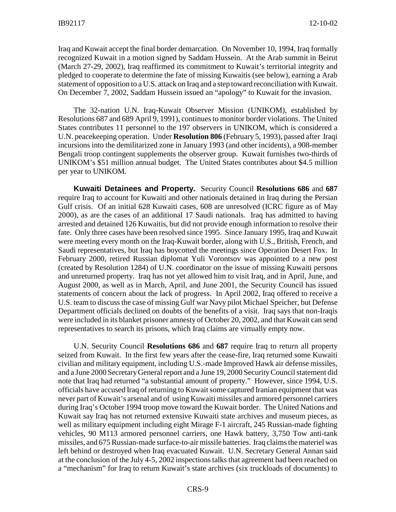Iraq and Kuwait accept the final border demarcation. On November 10, 1994, Iraq formally recognized Kuwait in a motion signed by Saddam Hussein. At the Arab summit in Beirut (March 27-29, 2002), Iraq reaffirmed its commitment to Kuwait's territorial integrity and pledged to cooperate to determine the fate of missing Kuwaitis (see below), earning a Arab statement of opposition to a U.S. attack on Iraq and a step toward reconciliation with Kuwait. On December 7, 2002, Saddam Hussein issued an "apology" to Kuwait for the invasion.

The 32-nation U.N. Iraq-Kuwait Observer Mission (UNIKOM), established by Resolutions 687 and 689 April 9, 1991), continues to monitor border violations. The United States contributes 11 personnel to the 197 observers in UNIKOM, which is considered a U.N. peacekeeping operation. Under **Resolution 806** (February 5, 1993), passed after Iraqi incursions into the demilitarized zone in January 1993 (and other incidents), a 908-member Bengali troop contingent supplements the observer group. Kuwait furnishes two-thirds of UNIKOM's \$51 million annual budget. The United States contributes about \$4.5 million per year to UNIKOM.

**Kuwaiti Detainees and Property.** Security Council **Resolutions 686** and **687** require Iraq to account for Kuwaiti and other nationals detained in Iraq during the Persian Gulf crisis. Of an initial 628 Kuwaiti cases, 608 are unresolved (ICRC figure as of May 2000), as are the cases of an additional 17 Saudi nationals. Iraq has admitted to having arrested and detained 126 Kuwaitis, but did not provide enough information to resolve their fate. Only three cases have been resolved since 1995. Since January 1995, Iraq and Kuwait were meeting every month on the Iraq-Kuwait border, along with U.S., British, French, and Saudi representatives, but Iraq has boycotted the meetings since Operation Desert Fox. In February 2000, retired Russian diplomat Yuli Vorontsov was appointed to a new post (created by Resolution 1284) of U.N. coordinator on the issue of missing Kuwaiti persons and unreturned property. Iraq has not yet allowed him to visit Iraq, and in April, June, and August 2000, as well as in March, April, and June 2001, the Security Council has issued statements of concern about the lack of progress. In April 2002, Iraq offered to receive a U.S. team to discuss the case of missing Gulf war Navy pilot Michael Speicher, but Defense Department officials declined on doubts of the benefits of a visit. Iraq says that non-Iraqis were included in its blanket prisoner amnesty of October 20, 2002, and that Kuwait can send representatives to search its prisons, which Iraq claims are virtually empty now.

U.N. Security Council **Resolutions 686** and **687** require Iraq to return all property seized from Kuwait. In the first few years after the cease-fire, Iraq returned some Kuwaiti civilian and military equipment, including U.S.-made Improved Hawk air defense missiles, and a June 2000 Secretary General report and a June 19, 2000 Security Council statement did note that Iraq had returned "a substantial amount of property." However, since 1994, U.S. officials have accused Iraq of returning to Kuwait some captured Iranian equipment that was never part of Kuwait's arsenal and of using Kuwaiti missiles and armored personnel carriers during Iraq's October 1994 troop move toward the Kuwait border. The United Nations and Kuwait say Iraq has not returned extensive Kuwaiti state archives and museum pieces, as well as military equipment including eight Mirage F-1 aircraft, 245 Russian-made fighting vehicles, 90 M113 armored personnel carriers, one Hawk battery, 3,750 Tow anti-tank missiles, and 675 Russian-made surface-to-air missile batteries. Iraq claims the materiel was left behind or destroyed when Iraq evacuated Kuwait. U.N. Secretary General Annan said at the conclusion of the July 4-5, 2002 inspections talks that agreement had been reached on a "mechanism" for Iraq to return Kuwait's state archives (six truckloads of documents) to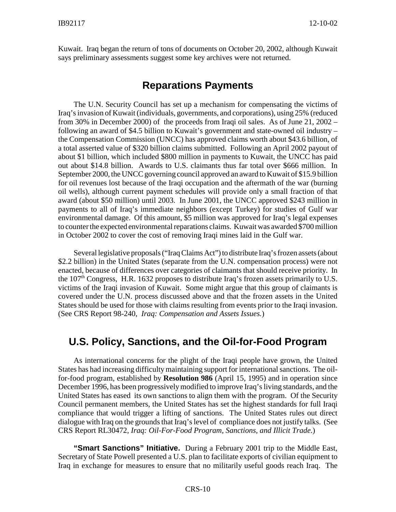Kuwait. Iraq began the return of tons of documents on October 20, 2002, although Kuwait says preliminary assessments suggest some key archives were not returned.

#### **Reparations Payments**

The U.N. Security Council has set up a mechanism for compensating the victims of Iraq's invasion of Kuwait (individuals, governments, and corporations), using 25% (reduced from 30% in December 2000) of the proceeds from Iraqi oil sales. As of June 21, 2002 – following an award of \$4.5 billion to Kuwait's government and state-owned oil industry – the Compensation Commission (UNCC) has approved claims worth about \$43.6 billion, of a total asserted value of \$320 billion claims submitted. Following an April 2002 payout of about \$1 billion, which included \$800 million in payments to Kuwait, the UNCC has paid out about \$14.8 billion. Awards to U.S. claimants thus far total over \$666 million. In September 2000, the UNCC governing council approved an award to Kuwait of \$15.9 billion for oil revenues lost because of the Iraqi occupation and the aftermath of the war (burning oil wells), although current payment schedules will provide only a small fraction of that award (about \$50 million) until 2003. In June 2001, the UNCC approved \$243 million in payments to all of Iraq's immediate neighbors (except Turkey) for studies of Gulf war environmental damage. Of this amount, \$5 million was approved for Iraq's legal expenses to counter the expected environmental reparations claims. Kuwait was awarded \$700 million in October 2002 to cover the cost of removing Iraqi mines laid in the Gulf war.

Several legislative proposals ("Iraq Claims Act") to distribute Iraq's frozen assets (about \$2.2 billion) in the United States (separate from the U.N. compensation process) were not enacted, because of differences over categories of claimants that should receive priority. In the 107<sup>th</sup> Congress, H.R. 1632 proposes to distribute Iraq's frozen assets primarily to U.S. victims of the Iraqi invasion of Kuwait. Some might argue that this group of claimants is covered under the U.N. process discussed above and that the frozen assets in the United States should be used for those with claims resulting from events prior to the Iraqi invasion. (See CRS Report 98-240, *Iraq: Compensation and Assets Issues.*)

# **U.S. Policy, Sanctions, and the Oil-for-Food Program**

As international concerns for the plight of the Iraqi people have grown, the United States has had increasing difficulty maintaining support for international sanctions. The oilfor-food program, established by **Resolution 986** (April 15, 1995) and in operation since December 1996, has been progressively modified to improve Iraq's living standards, and the United States has eased its own sanctions to align them with the program. Of the Security Council permanent members, the United States has set the highest standards for full Iraqi compliance that would trigger a lifting of sanctions. The United States rules out direct dialogue with Iraq on the grounds that Iraq's level of compliance does not justify talks. (See CRS Report RL30472, *Iraq: Oil-For-Food Program, Sanctions, and Illicit Trade*.)

**"Smart Sanctions" Initiative.** During a February 2001 trip to the Middle East, Secretary of State Powell presented a U.S. plan to facilitate exports of civilian equipment to Iraq in exchange for measures to ensure that no militarily useful goods reach Iraq. The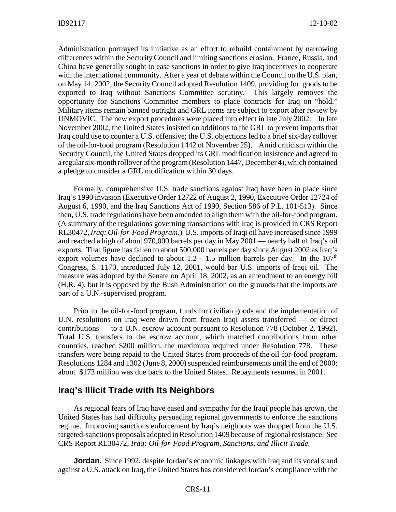Administration portrayed its initiative as an effort to rebuild containment by narrowing differences within the Security Council and limiting sanctions erosion. France, Russia, and China have generally sought to ease sanctions in order to give Iraq incentives to cooperate with the international community. After a year of debate within the Council on the U.S. plan, on May 14, 2002, the Security Council adopted Resolution 1409, providing for goods to be exported to Iraq without Sanctions Committee scrutiny. This largely removes the opportunity for Sanctions Committee members to place contracts for Iraq on "hold." Military items remain banned outright and GRL items are subject to export after review by UNMOVIC. The new export procedures were placed into effect in late July 2002. In late November 2002, the United States insisted on additions to the GRL to prevent imports that Iraq could use to counter a U.S. offensive; the U.S. objections led to a brief six-day rollover of the oil-for-food program (Resolution 1442 of November 25). Amid criticism within the Security Council, the United States dropped its GRL modification insistence and agreed to a regular six-month rollover of the program (Resolution 1447, December 4), which contained a pledge to consider a GRL modification within 30 days.

Formally, comprehensive U.S. trade sanctions against Iraq have been in place since Iraq's 1990 invasion (Executive Order 12722 of August 2, 1990, Executive Order 12724 of August 6, 1990, and the Iraq Sanctions Act of 1990, Section 586 of P.L. 101-513). Since then, U.S. trade regulations have been amended to align them with the oil-for-food program. (A summary of the regulations governing transactions with Iraq is provided in CRS Report RL30472, *Iraq: Oil-for-Food Program*.) U.S. imports of Iraqi oil have increased since 1999 and reached a high of about 970,000 barrels per day in May 2001 — nearly half of Iraq's oil exports. That figure has fallen to about 500,000 barrels per day since August 2002 as Iraq's export volumes have declined to about  $1.2 - 1.5$  million barrels per day. In the  $107<sup>th</sup>$ Congress, S. 1170, introduced July 12, 2001, would bar U.S. imports of Iraqi oil. The measure was adopted by the Senate on April 18, 2002, as an amendment to an energy bill (H.R. 4), but it is opposed by the Bush Administration on the grounds that the imports are part of a U.N.-supervised program.

Prior to the oil-for-food program, funds for civilian goods and the implementation of U.N. resolutions on Iraq were drawn from frozen Iraqi assets transferred — or direct contributions — to a U.N. escrow account pursuant to Resolution 778 (October 2, 1992). Total U.S. transfers to the escrow account, which matched contributions from other countries, reached \$200 million, the maximum required under Resolution 778. These transfers were being repaid to the United States from proceeds of the oil-for-food program. Resolutions 1284 and 1302 (June 8, 2000) suspended reimbursements until the end of 2000; about \$173 million was due back to the United States. Repayments resumed in 2001.

#### **Iraq's Illicit Trade with Its Neighbors**

As regional fears of Iraq have eased and sympathy for the Iraqi people has grown, the United States has had difficulty persuading regional governments to enforce the sanctions regime. Improving sanctions enforcement by Iraq's neighbors was dropped from the U.S. targeted-sanctions proposals adopted in Resolution 1409 because of regional resistance. See CRS Report RL30472, *Iraq: Oil-for-Food Program, Sanctions, and Illicit Trade.*

**Jordan.** Since 1992, despite Jordan's economic linkages with Iraq and its vocal stand against a U.S. attack on Iraq, the United States has considered Jordan's compliance with the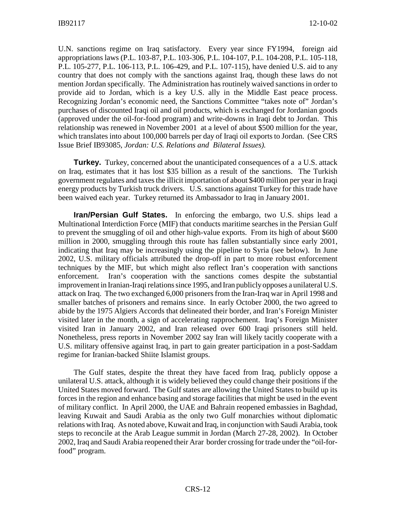U.N. sanctions regime on Iraq satisfactory. Every year since FY1994, foreign aid appropriations laws (P.L. 103-87, P.L. 103-306, P.L. 104-107, P.L. 104-208, P.L. 105-118, P.L. 105-277, P.L. 106-113, P.L. 106-429, and P.L. 107-115), have denied U.S. aid to any country that does not comply with the sanctions against Iraq, though these laws do not mention Jordan specifically. The Administration has routinely waived sanctions in order to provide aid to Jordan, which is a key U.S. ally in the Middle East peace process. Recognizing Jordan's economic need, the Sanctions Committee "takes note of" Jordan's purchases of discounted Iraqi oil and oil products, which is exchanged for Jordanian goods (approved under the oil-for-food program) and write-downs in Iraqi debt to Jordan. This relationship was renewed in November 2001 at a level of about \$500 million for the year, which translates into about 100,000 barrels per day of Iraqi oil exports to Jordan. (See CRS Issue Brief IB93085, *Jordan: U.S. Relations and Bilateral Issues).*

**Turkey.** Turkey, concerned about the unanticipated consequences of a a U.S. attack on Iraq, estimates that it has lost \$35 billion as a result of the sanctions. The Turkish government regulates and taxes the illicit importation of about \$400 million per year in Iraqi energy products by Turkish truck drivers. U.S. sanctions against Turkey for this trade have been waived each year. Turkey returned its Ambassador to Iraq in January 2001.

**Iran/Persian Gulf States.** In enforcing the embargo, two U.S. ships lead a Multinational Interdiction Force (MIF) that conducts maritime searches in the Persian Gulf to prevent the smuggling of oil and other high-value exports. From its high of about \$600 million in 2000, smuggling through this route has fallen substantially since early 2001, indicating that Iraq may be increasingly using the pipeline to Syria (see below). In June 2002, U.S. military officials attributed the drop-off in part to more robust enforcement techniques by the MIF, but which might also reflect Iran's cooperation with sanctions enforcement. Iran's cooperation with the sanctions comes despite the substantial improvement in Iranian-Iraqi relations since 1995, and Iran publicly opposes a unilateral U.S. attack on Iraq. The two exchanged 6,000 prisoners from the Iran-Iraq war in April 1998 and smaller batches of prisoners and remains since. In early October 2000, the two agreed to abide by the 1975 Algiers Accords that delineated their border, and Iran's Foreign Minister visited later in the month, a sign of accelerating rapprochement. Iraq's Foreign Minister visited Iran in January 2002, and Iran released over 600 Iraqi prisoners still held. Nonetheless, press reports in November 2002 say Iran will likely tacitly cooperate with a U.S. military offensive against Iraq, in part to gain greater participation in a post-Saddam regime for Iranian-backed Shiite Islamist groups.

The Gulf states, despite the threat they have faced from Iraq, publicly oppose a unilateral U.S. attack, although it is widely believed they could change their positions if the United States moved forward. The Gulf states are allowing the United States to build up its forces in the region and enhance basing and storage facilities that might be used in the event of military conflict. In April 2000, the UAE and Bahrain reopened embassies in Baghdad, leaving Kuwait and Saudi Arabia as the only two Gulf monarchies without diplomatic relations with Iraq. As noted above, Kuwait and Iraq, in conjunction with Saudi Arabia, took steps to reconcile at the Arab League summit in Jordan (March 27-28, 2002). In October 2002, Iraq and Saudi Arabia reopened their Arar border crossing for trade under the "oil-forfood" program.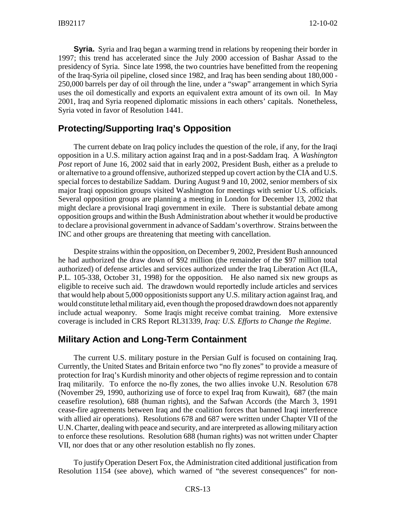**Syria.** Syria and Iraq began a warming trend in relations by reopening their border in 1997; this trend has accelerated since the July 2000 accession of Bashar Assad to the presidency of Syria. Since late 1998, the two countries have benefitted from the reopening of the Iraq-Syria oil pipeline, closed since 1982, and Iraq has been sending about 180,000 - 250,000 barrels per day of oil through the line, under a "swap" arrangement in which Syria uses the oil domestically and exports an equivalent extra amount of its own oil. In May 2001, Iraq and Syria reopened diplomatic missions in each others' capitals. Nonetheless, Syria voted in favor of Resolution 1441.

#### **Protecting/Supporting Iraq's Opposition**

The current debate on Iraq policy includes the question of the role, if any, for the Iraqi opposition in a U.S. military action against Iraq and in a post-Saddam Iraq. A *Washington Post* report of June 16, 2002 said that in early 2002, President Bush, either as a prelude to or alternative to a ground offensive, authorized stepped up covert action by the CIA and U.S. special forces to destabilize Saddam. During August 9 and 10, 2002, senior members of six major Iraqi opposition groups visited Washington for meetings with senior U.S. officials. Several opposition groups are planning a meeting in London for December 13, 2002 that might declare a provisional Iraqi government in exile. There is substantial debate among opposition groups and within the Bush Administration about whether it would be productive to declare a provisional government in advance of Saddam's overthrow. Strains between the INC and other groups are threatening that meeting with cancellation.

Despite strains within the opposition, on December 9, 2002, President Bush announced he had authorized the draw down of \$92 million (the remainder of the \$97 million total authorized) of defense articles and services authorized under the Iraq Liberation Act (ILA, P.L. 105-338, October 31, 1998) for the opposition. He also named six new groups as eligible to receive such aid. The drawdown would reportedly include articles and services that would help about 5,000 oppositionists support any U.S. military action against Iraq, and would constitute lethal military aid, even though the proposed drawdown does not apparently include actual weaponry. Some Iraqis might receive combat training. More extensive coverage is included in CRS Report RL31339, *Iraq: U.S. Efforts to Change the Regime*.

#### **Military Action and Long-Term Containment**

The current U.S. military posture in the Persian Gulf is focused on containing Iraq. Currently, the United States and Britain enforce two "no fly zones" to provide a measure of protection for Iraq's Kurdish minority and other objects of regime repression and to contain Iraq militarily. To enforce the no-fly zones, the two allies invoke U.N. Resolution 678 (November 29, 1990, authorizing use of force to expel Iraq from Kuwait), 687 (the main ceasefire resolution), 688 (human rights), and the Safwan Accords (the March 3, 1991 cease-fire agreements between Iraq and the coalition forces that banned Iraqi interference with allied air operations). Resolutions 678 and 687 were written under Chapter VII of the U.N. Charter, dealing with peace and security, and are interpreted as allowing military action to enforce these resolutions. Resolution 688 (human rights) was not written under Chapter VII, nor does that or any other resolution establish no fly zones.

To justify Operation Desert Fox, the Administration cited additional justification from Resolution 1154 (see above), which warned of "the severest consequences" for non-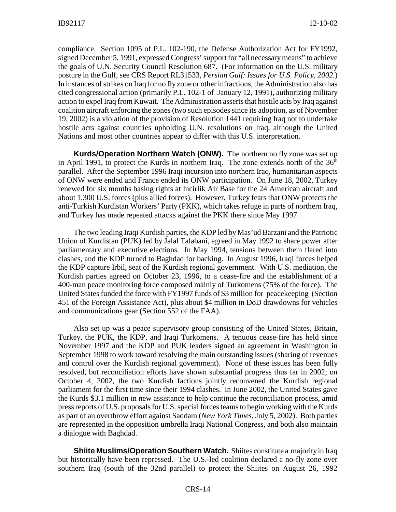compliance. Section 1095 of P.L. 102-190, the Defense Authorization Act for FY1992, signed December 5, 1991, expressed Congress' support for "all necessary means" to achieve the goals of U.N. Security Council Resolution 687. (For information on the U.S. military posture in the Gulf, see CRS Report RL31533, *Persian Gulf: Issues for U.S. Policy, 2002.*) In instances of strikes on Iraq for no fly zone or other infractions, the Administration also has cited congressional action (primarily P.L. 102-1 of January 12, 1991), authorizing military action to expel Iraq from Kuwait. The Administration asserts that hostile acts by Iraq against coalition aircraft enforcing the zones (two such episodes since its adoption, as of November 19, 2002) is a violation of the provision of Resolution 1441 requiring Iraq not to undertake hostile acts against countries upholding U.N. resolutions on Iraq, although the United Nations and most other countries appear to differ with this U.S. interpretation.

**Kurds/Operation Northern Watch (ONW).** The northern no fly zone was set up in April 1991, to protect the Kurds in northern Iraq. The zone extends north of the  $36<sup>th</sup>$ parallel. After the September 1996 Iraqi incursion into northern Iraq, humanitarian aspects of ONW were ended and France ended its ONW participation. On June 18, 2002, Turkey renewed for six months basing rights at Incirlik Air Base for the 24 American aircraft and about 1,300 U.S. forces (plus allied forces). However, Turkey fears that ONW protects the anti-Turkish Kurdistan Workers' Party (PKK), which takes refuge in parts of northern Iraq, and Turkey has made repeated attacks against the PKK there since May 1997.

The two leading Iraqi Kurdish parties, the KDP led by Mas'ud Barzani and the Patriotic Union of Kurdistan (PUK) led by Jalal Talabani, agreed in May 1992 to share power after parliamentary and executive elections. In May 1994, tensions between them flared into clashes, and the KDP turned to Baghdad for backing. In August 1996, Iraqi forces helped the KDP capture Irbil, seat of the Kurdish regional government. With U.S. mediation, the Kurdish parties agreed on October 23, 1996, to a cease-fire and the establishment of a 400-man peace monitoring force composed mainly of Turkomens (75% of the force). The United States funded the force with FY1997 funds of \$3 million for peacekeeping (Section 451 of the Foreign Assistance Act), plus about \$4 million in DoD drawdowns for vehicles and communications gear (Section 552 of the FAA).

Also set up was a peace supervisory group consisting of the United States, Britain, Turkey, the PUK, the KDP, and Iraqi Turkomens. A tenuous cease-fire has held since November 1997 and the KDP and PUK leaders signed an agreement in Washington in September 1998 to work toward resolving the main outstanding issues (sharing of revenues and control over the Kurdish regional government). None of these issues has been fully resolved, but reconciliation efforts have shown substantial progress thus far in 2002; on October 4, 2002, the two Kurdish factions jointly reconvened the Kurdish regional parliament for the first time since their 1994 clashes. In June 2002, the United States gave the Kurds \$3.1 million in new assistance to help continue the reconciliation process, amid press reports of U.S. proposals for U.S. special forces teams to begin working with the Kurds as part of an overthrow effort against Saddam (*New York Times*, July 5, 2002). Both parties are represented in the opposition umbrella Iraqi National Congress, and both also maintain a dialogue with Baghdad.

**Shiite Muslims/Operation Southern Watch.** Shiites constitute a majority in Iraq but historically have been repressed. The U.S.-led coalition declared a no-fly zone over southern Iraq (south of the 32nd parallel) to protect the Shiites on August 26, 1992